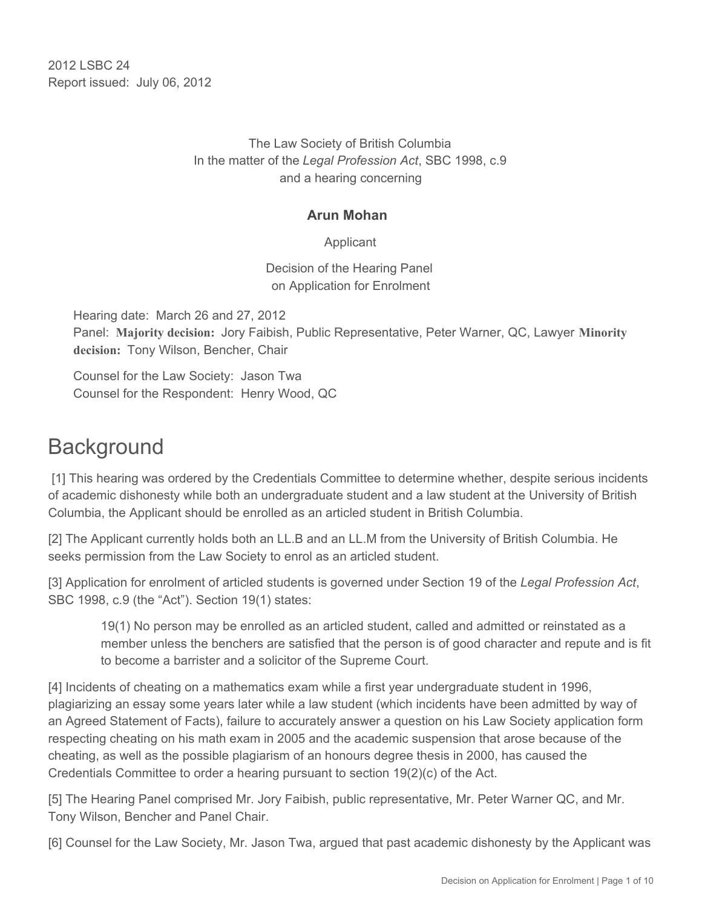2012 LSBC 24 Report issued: July 06, 2012

> The Law Society of British Columbia In the matter of the *Legal Profession Act*, SBC 1998, c.9 and a hearing concerning

#### **Arun Mohan**

Applicant

Decision of the Hearing Panel on Application for Enrolment

Hearing date: March 26 and 27, 2012 Panel: **Majority decision:** Jory Faibish, Public Representative, Peter Warner, QC, Lawyer **Minority decision:** Tony Wilson, Bencher, Chair

Counsel for the Law Society: Jason Twa Counsel for the Respondent: Henry Wood, QC

# **Background**

 [1] This hearing was ordered by the Credentials Committee to determine whether, despite serious incidents of academic dishonesty while both an undergraduate student and a law student at the University of British Columbia, the Applicant should be enrolled as an articled student in British Columbia.

[2] The Applicant currently holds both an LL.B and an LL.M from the University of British Columbia. He seeks permission from the Law Society to enrol as an articled student.

[3] Application for enrolment of articled students is governed under Section 19 of the *Legal Profession Act*, SBC 1998, c.9 (the "Act"). Section 19(1) states:

19(1) No person may be enrolled as an articled student, called and admitted or reinstated as a member unless the benchers are satisfied that the person is of good character and repute and is fit to become a barrister and a solicitor of the Supreme Court.

[4] Incidents of cheating on a mathematics exam while a first year undergraduate student in 1996, plagiarizing an essay some years later while a law student (which incidents have been admitted by way of an Agreed Statement of Facts), failure to accurately answer a question on his Law Society application form respecting cheating on his math exam in 2005 and the academic suspension that arose because of the cheating, as well as the possible plagiarism of an honours degree thesis in 2000, has caused the Credentials Committee to order a hearing pursuant to section 19(2)(c) of the Act.

[5] The Hearing Panel comprised Mr. Jory Faibish, public representative, Mr. Peter Warner QC, and Mr. Tony Wilson, Bencher and Panel Chair.

[6] Counsel for the Law Society, Mr. Jason Twa, argued that past academic dishonesty by the Applicant was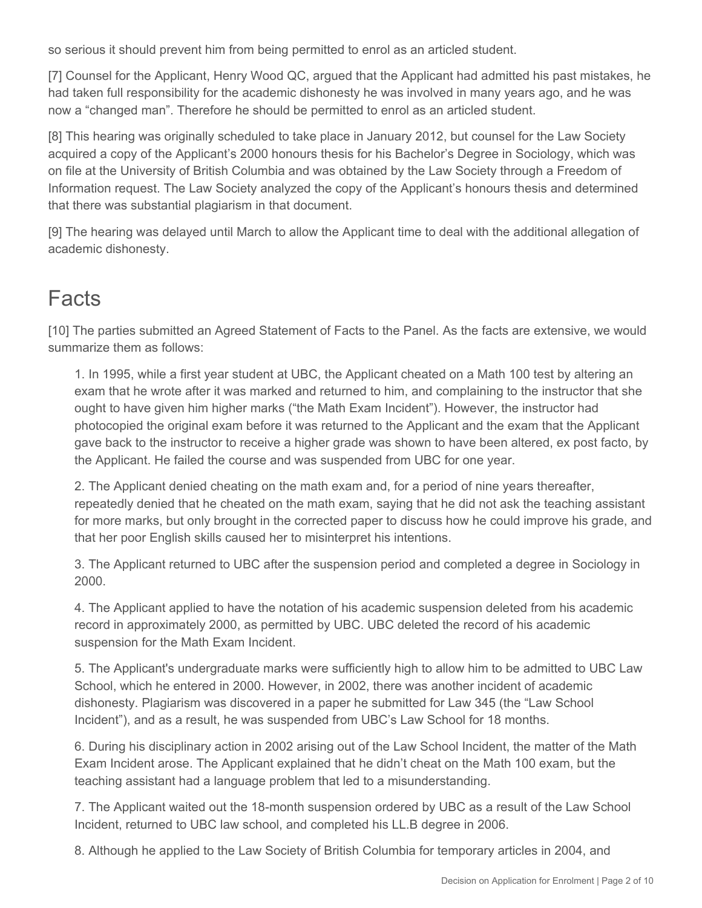so serious it should prevent him from being permitted to enrol as an articled student.

[7] Counsel for the Applicant, Henry Wood QC, argued that the Applicant had admitted his past mistakes, he had taken full responsibility for the academic dishonesty he was involved in many years ago, and he was now a "changed man". Therefore he should be permitted to enrol as an articled student.

[8] This hearing was originally scheduled to take place in January 2012, but counsel for the Law Society acquired a copy of the Applicant's 2000 honours thesis for his Bachelor's Degree in Sociology, which was on file at the University of British Columbia and was obtained by the Law Society through a Freedom of Information request. The Law Society analyzed the copy of the Applicant's honours thesis and determined that there was substantial plagiarism in that document.

[9] The hearing was delayed until March to allow the Applicant time to deal with the additional allegation of academic dishonesty.

# **Facts**

[10] The parties submitted an Agreed Statement of Facts to the Panel. As the facts are extensive, we would summarize them as follows:

1. In 1995, while a first year student at UBC, the Applicant cheated on a Math 100 test by altering an exam that he wrote after it was marked and returned to him, and complaining to the instructor that she ought to have given him higher marks ("the Math Exam Incident"). However, the instructor had photocopied the original exam before it was returned to the Applicant and the exam that the Applicant gave back to the instructor to receive a higher grade was shown to have been altered, ex post facto, by the Applicant. He failed the course and was suspended from UBC for one year.

2. The Applicant denied cheating on the math exam and, for a period of nine years thereafter, repeatedly denied that he cheated on the math exam, saying that he did not ask the teaching assistant for more marks, but only brought in the corrected paper to discuss how he could improve his grade, and that her poor English skills caused her to misinterpret his intentions.

3. The Applicant returned to UBC after the suspension period and completed a degree in Sociology in 2000.

4. The Applicant applied to have the notation of his academic suspension deleted from his academic record in approximately 2000, as permitted by UBC. UBC deleted the record of his academic suspension for the Math Exam Incident.

5. The Applicant's undergraduate marks were sufficiently high to allow him to be admitted to UBC Law School, which he entered in 2000. However, in 2002, there was another incident of academic dishonesty. Plagiarism was discovered in a paper he submitted for Law 345 (the "Law School Incident"), and as a result, he was suspended from UBC's Law School for 18 months.

6. During his disciplinary action in 2002 arising out of the Law School Incident, the matter of the Math Exam Incident arose. The Applicant explained that he didn't cheat on the Math 100 exam, but the teaching assistant had a language problem that led to a misunderstanding.

7. The Applicant waited out the 18-month suspension ordered by UBC as a result of the Law School Incident, returned to UBC law school, and completed his LL.B degree in 2006.

8. Although he applied to the Law Society of British Columbia for temporary articles in 2004, and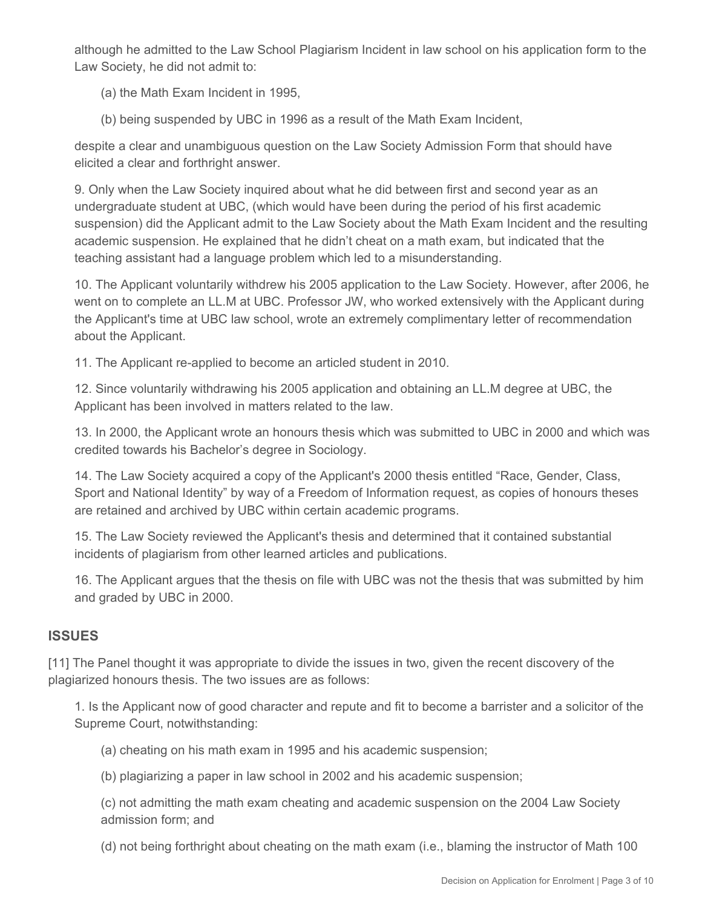although he admitted to the Law School Plagiarism Incident in law school on his application form to the Law Society, he did not admit to:

(a) the Math Exam Incident in 1995,

(b) being suspended by UBC in 1996 as a result of the Math Exam Incident,

despite a clear and unambiguous question on the Law Society Admission Form that should have elicited a clear and forthright answer.

9. Only when the Law Society inquired about what he did between first and second year as an undergraduate student at UBC, (which would have been during the period of his first academic suspension) did the Applicant admit to the Law Society about the Math Exam Incident and the resulting academic suspension. He explained that he didn't cheat on a math exam, but indicated that the teaching assistant had a language problem which led to a misunderstanding.

10. The Applicant voluntarily withdrew his 2005 application to the Law Society. However, after 2006, he went on to complete an LL.M at UBC. Professor JW, who worked extensively with the Applicant during the Applicant's time at UBC law school, wrote an extremely complimentary letter of recommendation about the Applicant.

11. The Applicant re-applied to become an articled student in 2010.

12. Since voluntarily withdrawing his 2005 application and obtaining an LL.M degree at UBC, the Applicant has been involved in matters related to the law.

13. In 2000, the Applicant wrote an honours thesis which was submitted to UBC in 2000 and which was credited towards his Bachelor's degree in Sociology.

14. The Law Society acquired a copy of the Applicant's 2000 thesis entitled "Race, Gender, Class, Sport and National Identity" by way of a Freedom of Information request, as copies of honours theses are retained and archived by UBC within certain academic programs.

15. The Law Society reviewed the Applicant's thesis and determined that it contained substantial incidents of plagiarism from other learned articles and publications.

16. The Applicant argues that the thesis on file with UBC was not the thesis that was submitted by him and graded by UBC in 2000.

#### **ISSUES**

[11] The Panel thought it was appropriate to divide the issues in two, given the recent discovery of the plagiarized honours thesis. The two issues are as follows:

1. Is the Applicant now of good character and repute and fit to become a barrister and a solicitor of the Supreme Court, notwithstanding:

(a) cheating on his math exam in 1995 and his academic suspension;

(b) plagiarizing a paper in law school in 2002 and his academic suspension;

(c) not admitting the math exam cheating and academic suspension on the 2004 Law Society admission form; and

(d) not being forthright about cheating on the math exam (i.e., blaming the instructor of Math 100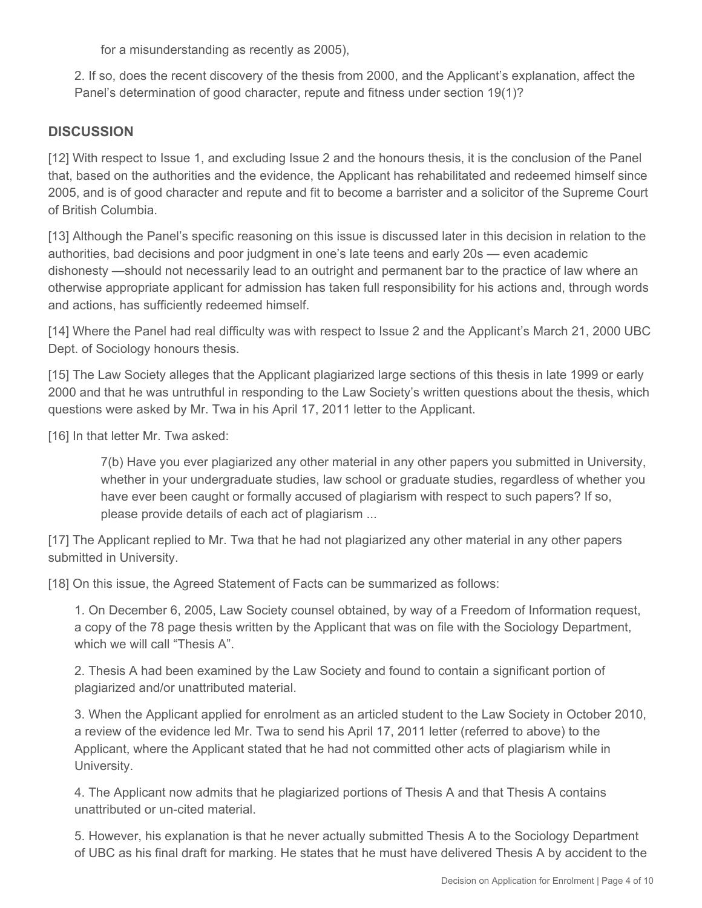for a misunderstanding as recently as 2005),

2. If so, does the recent discovery of the thesis from 2000, and the Applicant's explanation, affect the Panel's determination of good character, repute and fitness under section 19(1)?

#### **DISCUSSION**

[12] With respect to Issue 1, and excluding Issue 2 and the honours thesis, it is the conclusion of the Panel that, based on the authorities and the evidence, the Applicant has rehabilitated and redeemed himself since 2005, and is of good character and repute and fit to become a barrister and a solicitor of the Supreme Court of British Columbia.

[13] Although the Panel's specific reasoning on this issue is discussed later in this decision in relation to the authorities, bad decisions and poor judgment in one's late teens and early 20s — even academic dishonesty —should not necessarily lead to an outright and permanent bar to the practice of law where an otherwise appropriate applicant for admission has taken full responsibility for his actions and, through words and actions, has sufficiently redeemed himself.

[14] Where the Panel had real difficulty was with respect to Issue 2 and the Applicant's March 21, 2000 UBC Dept. of Sociology honours thesis.

[15] The Law Society alleges that the Applicant plagiarized large sections of this thesis in late 1999 or early 2000 and that he was untruthful in responding to the Law Society's written questions about the thesis, which questions were asked by Mr. Twa in his April 17, 2011 letter to the Applicant.

[16] In that letter Mr. Twa asked:

7(b) Have you ever plagiarized any other material in any other papers you submitted in University, whether in your undergraduate studies, law school or graduate studies, regardless of whether you have ever been caught or formally accused of plagiarism with respect to such papers? If so, please provide details of each act of plagiarism ...

[17] The Applicant replied to Mr. Twa that he had not plagiarized any other material in any other papers submitted in University.

[18] On this issue, the Agreed Statement of Facts can be summarized as follows:

1. On December 6, 2005, Law Society counsel obtained, by way of a Freedom of Information request, a copy of the 78 page thesis written by the Applicant that was on file with the Sociology Department, which we will call "Thesis A".

2. Thesis A had been examined by the Law Society and found to contain a significant portion of plagiarized and/or unattributed material.

3. When the Applicant applied for enrolment as an articled student to the Law Society in October 2010, a review of the evidence led Mr. Twa to send his April 17, 2011 letter (referred to above) to the Applicant, where the Applicant stated that he had not committed other acts of plagiarism while in University.

4. The Applicant now admits that he plagiarized portions of Thesis A and that Thesis A contains unattributed or un-cited material.

5. However, his explanation is that he never actually submitted Thesis A to the Sociology Department of UBC as his final draft for marking. He states that he must have delivered Thesis A by accident to the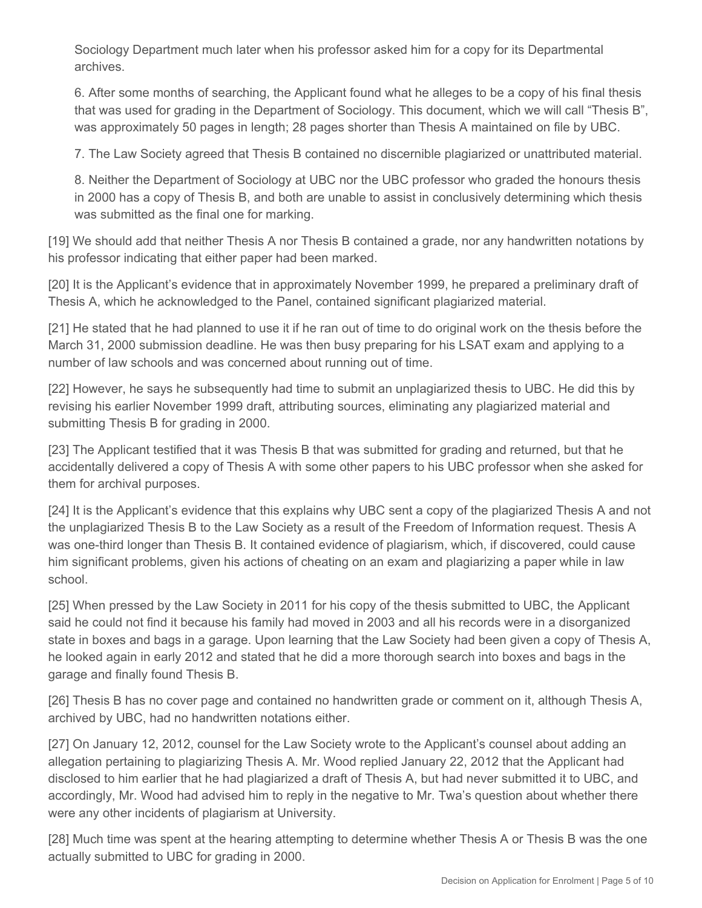Sociology Department much later when his professor asked him for a copy for its Departmental archives.

6. After some months of searching, the Applicant found what he alleges to be a copy of his final thesis that was used for grading in the Department of Sociology. This document, which we will call "Thesis B", was approximately 50 pages in length; 28 pages shorter than Thesis A maintained on file by UBC.

7. The Law Society agreed that Thesis B contained no discernible plagiarized or unattributed material.

8. Neither the Department of Sociology at UBC nor the UBC professor who graded the honours thesis in 2000 has a copy of Thesis B, and both are unable to assist in conclusively determining which thesis was submitted as the final one for marking.

[19] We should add that neither Thesis A nor Thesis B contained a grade, nor any handwritten notations by his professor indicating that either paper had been marked.

[20] It is the Applicant's evidence that in approximately November 1999, he prepared a preliminary draft of Thesis A, which he acknowledged to the Panel, contained significant plagiarized material.

[21] He stated that he had planned to use it if he ran out of time to do original work on the thesis before the March 31, 2000 submission deadline. He was then busy preparing for his LSAT exam and applying to a number of law schools and was concerned about running out of time.

[22] However, he says he subsequently had time to submit an unplagiarized thesis to UBC. He did this by revising his earlier November 1999 draft, attributing sources, eliminating any plagiarized material and submitting Thesis B for grading in 2000.

[23] The Applicant testified that it was Thesis B that was submitted for grading and returned, but that he accidentally delivered a copy of Thesis A with some other papers to his UBC professor when she asked for them for archival purposes.

[24] It is the Applicant's evidence that this explains why UBC sent a copy of the plagiarized Thesis A and not the unplagiarized Thesis B to the Law Society as a result of the Freedom of Information request. Thesis A was one-third longer than Thesis B. It contained evidence of plagiarism, which, if discovered, could cause him significant problems, given his actions of cheating on an exam and plagiarizing a paper while in law school.

[25] When pressed by the Law Society in 2011 for his copy of the thesis submitted to UBC, the Applicant said he could not find it because his family had moved in 2003 and all his records were in a disorganized state in boxes and bags in a garage. Upon learning that the Law Society had been given a copy of Thesis A, he looked again in early 2012 and stated that he did a more thorough search into boxes and bags in the garage and finally found Thesis B.

[26] Thesis B has no cover page and contained no handwritten grade or comment on it, although Thesis A, archived by UBC, had no handwritten notations either.

[27] On January 12, 2012, counsel for the Law Society wrote to the Applicant's counsel about adding an allegation pertaining to plagiarizing Thesis A. Mr. Wood replied January 22, 2012 that the Applicant had disclosed to him earlier that he had plagiarized a draft of Thesis A, but had never submitted it to UBC, and accordingly, Mr. Wood had advised him to reply in the negative to Mr. Twa's question about whether there were any other incidents of plagiarism at University.

[28] Much time was spent at the hearing attempting to determine whether Thesis A or Thesis B was the one actually submitted to UBC for grading in 2000.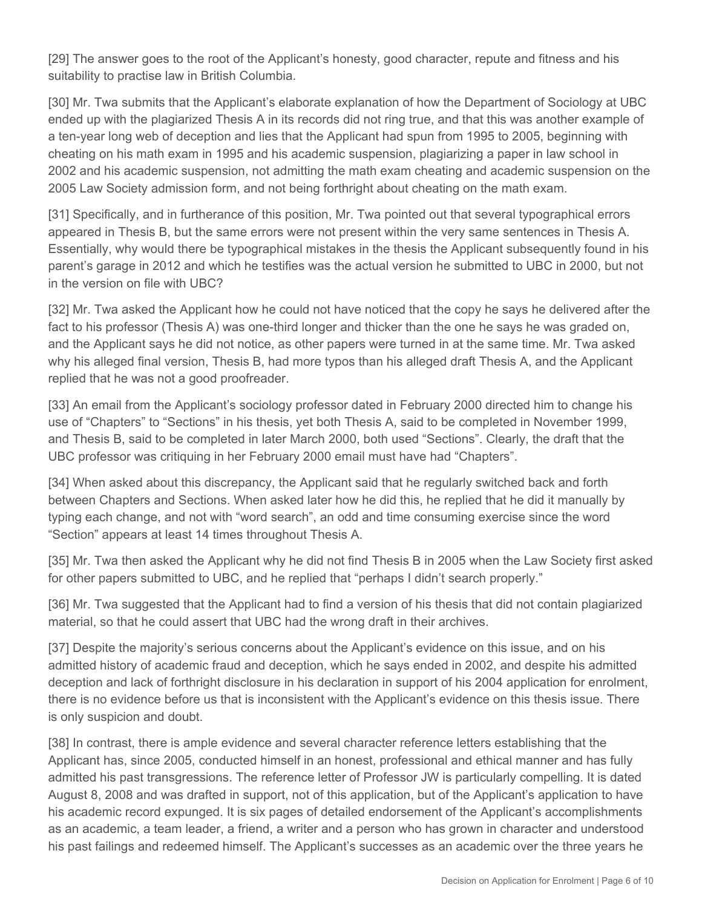[29] The answer goes to the root of the Applicant's honesty, good character, repute and fitness and his suitability to practise law in British Columbia.

[30] Mr. Twa submits that the Applicant's elaborate explanation of how the Department of Sociology at UBC ended up with the plagiarized Thesis A in its records did not ring true, and that this was another example of a ten-year long web of deception and lies that the Applicant had spun from 1995 to 2005, beginning with cheating on his math exam in 1995 and his academic suspension, plagiarizing a paper in law school in 2002 and his academic suspension, not admitting the math exam cheating and academic suspension on the 2005 Law Society admission form, and not being forthright about cheating on the math exam.

[31] Specifically, and in furtherance of this position, Mr. Twa pointed out that several typographical errors appeared in Thesis B, but the same errors were not present within the very same sentences in Thesis A. Essentially, why would there be typographical mistakes in the thesis the Applicant subsequently found in his parent's garage in 2012 and which he testifies was the actual version he submitted to UBC in 2000, but not in the version on file with UBC?

[32] Mr. Twa asked the Applicant how he could not have noticed that the copy he says he delivered after the fact to his professor (Thesis A) was one-third longer and thicker than the one he says he was graded on, and the Applicant says he did not notice, as other papers were turned in at the same time. Mr. Twa asked why his alleged final version, Thesis B, had more typos than his alleged draft Thesis A, and the Applicant replied that he was not a good proofreader.

[33] An email from the Applicant's sociology professor dated in February 2000 directed him to change his use of "Chapters" to "Sections" in his thesis, yet both Thesis A, said to be completed in November 1999, and Thesis B, said to be completed in later March 2000, both used "Sections". Clearly, the draft that the UBC professor was critiquing in her February 2000 email must have had "Chapters".

[34] When asked about this discrepancy, the Applicant said that he regularly switched back and forth between Chapters and Sections. When asked later how he did this, he replied that he did it manually by typing each change, and not with "word search", an odd and time consuming exercise since the word "Section" appears at least 14 times throughout Thesis A.

[35] Mr. Twa then asked the Applicant why he did not find Thesis B in 2005 when the Law Society first asked for other papers submitted to UBC, and he replied that "perhaps I didn't search properly."

[36] Mr. Twa suggested that the Applicant had to find a version of his thesis that did not contain plagiarized material, so that he could assert that UBC had the wrong draft in their archives.

[37] Despite the majority's serious concerns about the Applicant's evidence on this issue, and on his admitted history of academic fraud and deception, which he says ended in 2002, and despite his admitted deception and lack of forthright disclosure in his declaration in support of his 2004 application for enrolment, there is no evidence before us that is inconsistent with the Applicant's evidence on this thesis issue. There is only suspicion and doubt.

[38] In contrast, there is ample evidence and several character reference letters establishing that the Applicant has, since 2005, conducted himself in an honest, professional and ethical manner and has fully admitted his past transgressions. The reference letter of Professor JW is particularly compelling. It is dated August 8, 2008 and was drafted in support, not of this application, but of the Applicant's application to have his academic record expunged. It is six pages of detailed endorsement of the Applicant's accomplishments as an academic, a team leader, a friend, a writer and a person who has grown in character and understood his past failings and redeemed himself. The Applicant's successes as an academic over the three years he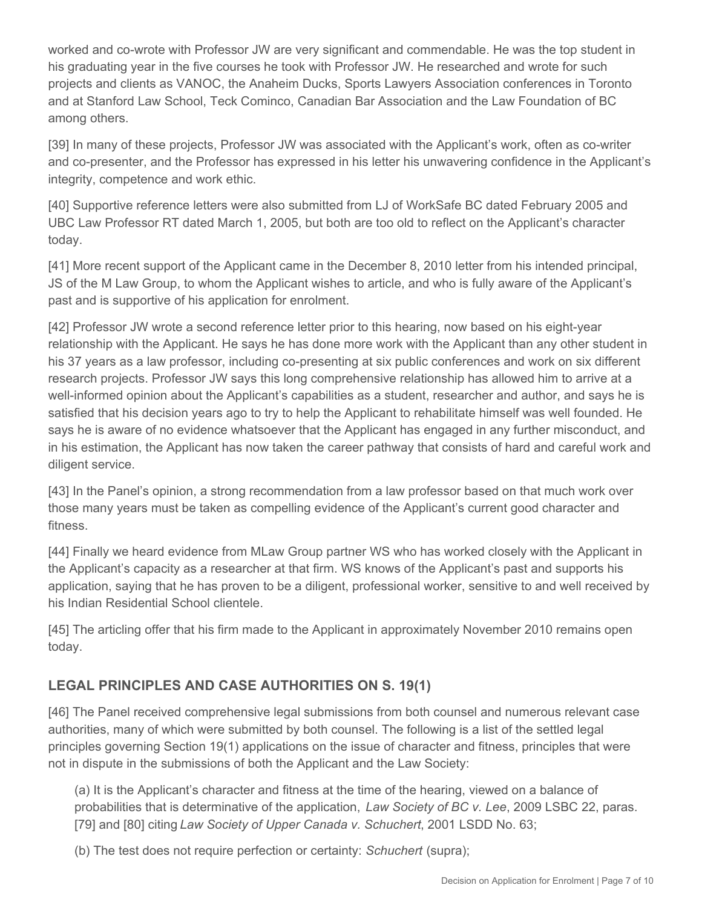worked and co-wrote with Professor JW are very significant and commendable. He was the top student in his graduating year in the five courses he took with Professor JW. He researched and wrote for such projects and clients as VANOC, the Anaheim Ducks, Sports Lawyers Association conferences in Toronto and at Stanford Law School, Teck Cominco, Canadian Bar Association and the Law Foundation of BC among others.

[39] In many of these projects, Professor JW was associated with the Applicant's work, often as co-writer and co-presenter, and the Professor has expressed in his letter his unwavering confidence in the Applicant's integrity, competence and work ethic.

[40] Supportive reference letters were also submitted from LJ of WorkSafe BC dated February 2005 and UBC Law Professor RT dated March 1, 2005, but both are too old to reflect on the Applicant's character today.

[41] More recent support of the Applicant came in the December 8, 2010 letter from his intended principal, JS of the M Law Group, to whom the Applicant wishes to article, and who is fully aware of the Applicant's past and is supportive of his application for enrolment.

[42] Professor JW wrote a second reference letter prior to this hearing, now based on his eight-year relationship with the Applicant. He says he has done more work with the Applicant than any other student in his 37 years as a law professor, including co-presenting at six public conferences and work on six different research projects. Professor JW says this long comprehensive relationship has allowed him to arrive at a well-informed opinion about the Applicant's capabilities as a student, researcher and author, and says he is satisfied that his decision years ago to try to help the Applicant to rehabilitate himself was well founded. He says he is aware of no evidence whatsoever that the Applicant has engaged in any further misconduct, and in his estimation, the Applicant has now taken the career pathway that consists of hard and careful work and diligent service.

[43] In the Panel's opinion, a strong recommendation from a law professor based on that much work over those many years must be taken as compelling evidence of the Applicant's current good character and fitness.

[44] Finally we heard evidence from MLaw Group partner WS who has worked closely with the Applicant in the Applicant's capacity as a researcher at that firm. WS knows of the Applicant's past and supports his application, saying that he has proven to be a diligent, professional worker, sensitive to and well received by his Indian Residential School clientele.

[45] The articling offer that his firm made to the Applicant in approximately November 2010 remains open today.

## **LEGAL PRINCIPLES AND CASE AUTHORITIES ON S. 19(1)**

[46] The Panel received comprehensive legal submissions from both counsel and numerous relevant case authorities, many of which were submitted by both counsel. The following is a list of the settled legal principles governing Section 19(1) applications on the issue of character and fitness, principles that were not in dispute in the submissions of both the Applicant and the Law Society:

(a) It is the Applicant's character and fitness at the time of the hearing, viewed on a balance of probabilities that is determinative of the application, *Law Society of BC v. Lee*, 2009 LSBC 22, paras. [79] and [80] citing *Law Society of Upper Canada v. Schuchert*, 2001 LSDD No. 63;

(b) The test does not require perfection or certainty: *Schuchert* (supra);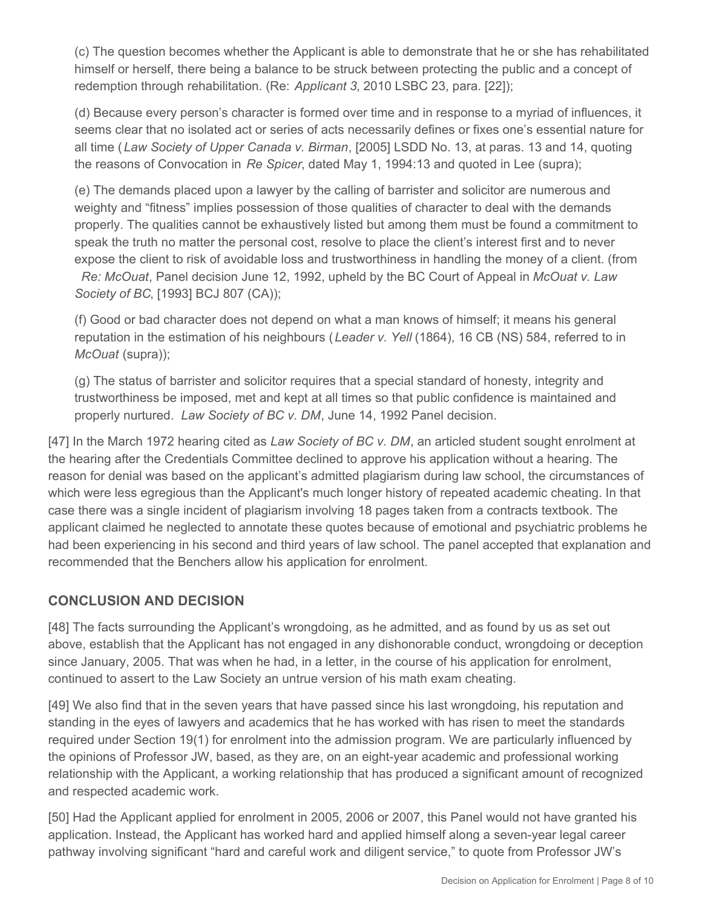(c) The question becomes whether the Applicant is able to demonstrate that he or she has rehabilitated himself or herself, there being a balance to be struck between protecting the public and a concept of redemption through rehabilitation. (Re: *Applicant 3*, 2010 LSBC 23, para. [22]);

(d) Because every person's character is formed over time and in response to a myriad of influences, it seems clear that no isolated act or series of acts necessarily defines or fixes one's essential nature for all time (*Law Society of Upper Canada v. Birman*, [2005] LSDD No. 13, at paras. 13 and 14, quoting the reasons of Convocation in *Re Spicer*, dated May 1, 1994:13 and quoted in Lee (supra);

(e) The demands placed upon a lawyer by the calling of barrister and solicitor are numerous and weighty and "fitness" implies possession of those qualities of character to deal with the demands properly. The qualities cannot be exhaustively listed but among them must be found a commitment to speak the truth no matter the personal cost, resolve to place the client's interest first and to never expose the client to risk of avoidable loss and trustworthiness in handling the money of a client. (from *Re: McOuat*, Panel decision June 12, 1992, upheld by the BC Court of Appeal in *McOuat v. Law Society of BC*, [1993] BCJ 807 (CA));

(f) Good or bad character does not depend on what a man knows of himself; it means his general reputation in the estimation of his neighbours (*Leader v. Yell* (1864), 16 CB (NS) 584, referred to in *McOuat (supra));* 

(g) The status of barrister and solicitor requires that a special standard of honesty, integrity and trustworthiness be imposed, met and kept at all times so that public confidence is maintained and properly nurtured. *Law Society of BC v. DM*, June 14, 1992 Panel decision.

[47] In the March 1972 hearing cited as *Law Society of BC v. DM*, an articled student sought enrolment at the hearing after the Credentials Committee declined to approve his application without a hearing. The reason for denial was based on the applicant's admitted plagiarism during law school, the circumstances of which were less egregious than the Applicant's much longer history of repeated academic cheating. In that case there was a single incident of plagiarism involving 18 pages taken from a contracts textbook. The applicant claimed he neglected to annotate these quotes because of emotional and psychiatric problems he had been experiencing in his second and third years of law school. The panel accepted that explanation and recommended that the Benchers allow his application for enrolment.

### **CONCLUSION AND DECISION**

[48] The facts surrounding the Applicant's wrongdoing, as he admitted, and as found by us as set out above, establish that the Applicant has not engaged in any dishonorable conduct, wrongdoing or deception since January, 2005. That was when he had, in a letter, in the course of his application for enrolment, continued to assert to the Law Society an untrue version of his math exam cheating.

[49] We also find that in the seven years that have passed since his last wrongdoing, his reputation and standing in the eyes of lawyers and academics that he has worked with has risen to meet the standards required under Section 19(1) for enrolment into the admission program. We are particularly influenced by the opinions of Professor JW, based, as they are, on an eight-year academic and professional working relationship with the Applicant, a working relationship that has produced a significant amount of recognized and respected academic work.

[50] Had the Applicant applied for enrolment in 2005, 2006 or 2007, this Panel would not have granted his application. Instead, the Applicant has worked hard and applied himself along a seven-year legal career pathway involving significant "hard and careful work and diligent service," to quote from Professor JW's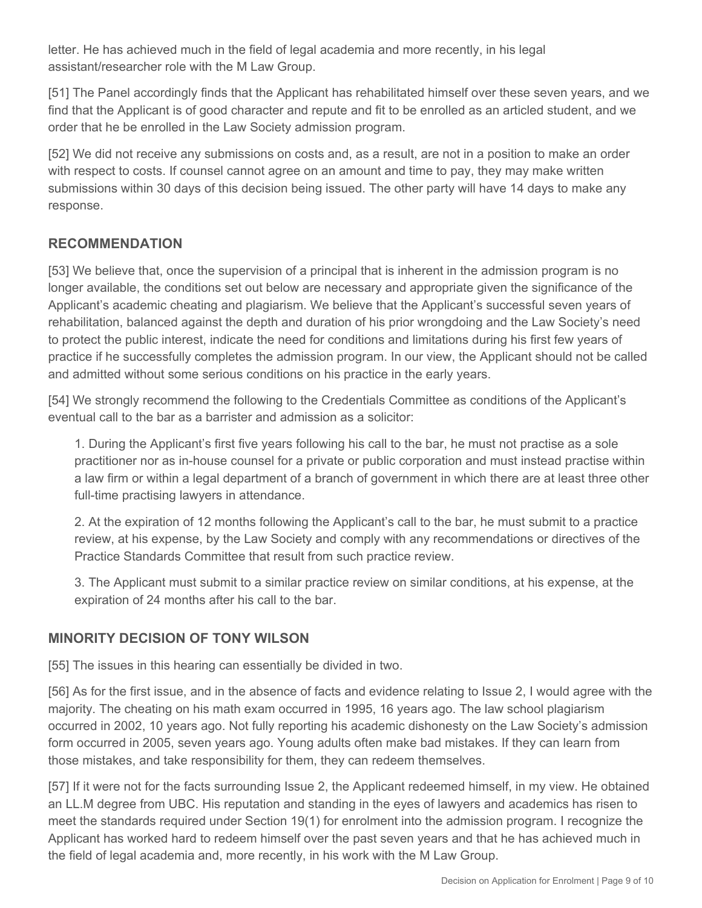letter. He has achieved much in the field of legal academia and more recently, in his legal assistant/researcher role with the M Law Group.

[51] The Panel accordingly finds that the Applicant has rehabilitated himself over these seven years, and we find that the Applicant is of good character and repute and fit to be enrolled as an articled student, and we order that he be enrolled in the Law Society admission program.

[52] We did not receive any submissions on costs and, as a result, are not in a position to make an order with respect to costs. If counsel cannot agree on an amount and time to pay, they may make written submissions within 30 days of this decision being issued. The other party will have 14 days to make any response.

#### **RECOMMENDATION**

[53] We believe that, once the supervision of a principal that is inherent in the admission program is no longer available, the conditions set out below are necessary and appropriate given the significance of the Applicant's academic cheating and plagiarism. We believe that the Applicant's successful seven years of rehabilitation, balanced against the depth and duration of his prior wrongdoing and the Law Society's need to protect the public interest, indicate the need for conditions and limitations during his first few years of practice if he successfully completes the admission program. In our view, the Applicant should not be called and admitted without some serious conditions on his practice in the early years.

[54] We strongly recommend the following to the Credentials Committee as conditions of the Applicant's eventual call to the bar as a barrister and admission as a solicitor:

1. During the Applicant's first five years following his call to the bar, he must not practise as a sole practitioner nor as in-house counsel for a private or public corporation and must instead practise within a law firm or within a legal department of a branch of government in which there are at least three other full-time practising lawyers in attendance.

2. At the expiration of 12 months following the Applicant's call to the bar, he must submit to a practice review, at his expense, by the Law Society and comply with any recommendations or directives of the Practice Standards Committee that result from such practice review.

3. The Applicant must submit to a similar practice review on similar conditions, at his expense, at the expiration of 24 months after his call to the bar.

### **MINORITY DECISION OF TONY WILSON**

[55] The issues in this hearing can essentially be divided in two.

[56] As for the first issue, and in the absence of facts and evidence relating to Issue 2, I would agree with the majority. The cheating on his math exam occurred in 1995, 16 years ago. The law school plagiarism occurred in 2002, 10 years ago. Not fully reporting his academic dishonesty on the Law Society's admission form occurred in 2005, seven years ago. Young adults often make bad mistakes. If they can learn from those mistakes, and take responsibility for them, they can redeem themselves.

[57] If it were not for the facts surrounding Issue 2, the Applicant redeemed himself, in my view. He obtained an LL.M degree from UBC. His reputation and standing in the eyes of lawyers and academics has risen to meet the standards required under Section 19(1) for enrolment into the admission program. I recognize the Applicant has worked hard to redeem himself over the past seven years and that he has achieved much in the field of legal academia and, more recently, in his work with the M Law Group.